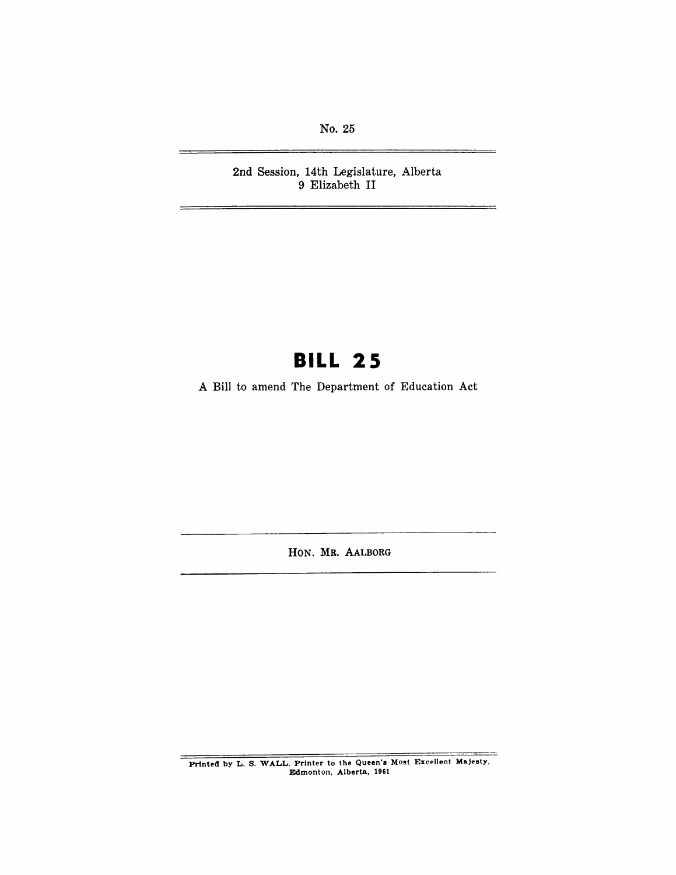No. 25

-

2nd Session, 14th Legislature, Alberta 9 Elizabeth II

# **BILL 25**

A Bill to amend The Department of Education Act

HON. MR. AALBORG

Printed by L. S. WALL, Printer to the Queen's Most Excellent Majesty, Edmonton, Alberta, 1961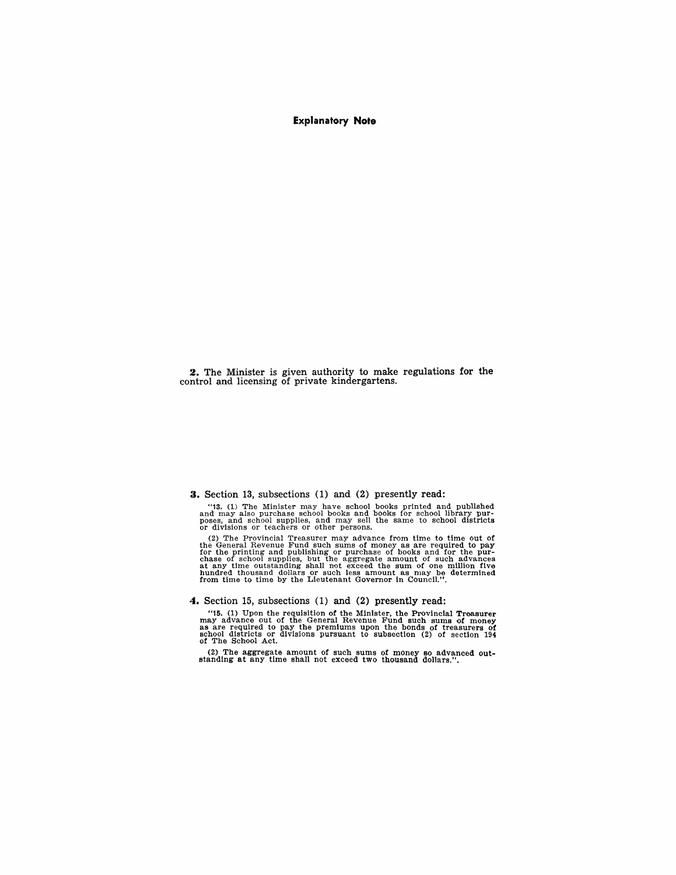**Explanatory Note** 

**2.** The Minister is given authority to make regulations for the control and licensing of private kindergartens.

### **3.** Section 13, subsections (1) and (2) presently read:

"13. (1) The Minister may have school books printed and published and may also purchase school books and books for school library purposes, and school supplies, and may sell the same to school districts or divisions or teachers or other persons.

(2) The Provincial Treasurer may advance from time to time out of the General Revenue Fund such sums of money as are required to pay for the primation for the primation for the prichase of school supplies, but the aggrega

#### **4.** Section 15, subsections (1) and (2) presently read:

"15. (1) Upon the requisition of the Minister, the Provincial Treasurer may advance out of the General Revenue Fund such sums of money as are required to pay the premiums upon the bonds of treasurers of school districts o

(2) The aggregate amount of such sums of money so advanced out- standing at any time shall not exceed two thousand dollars.".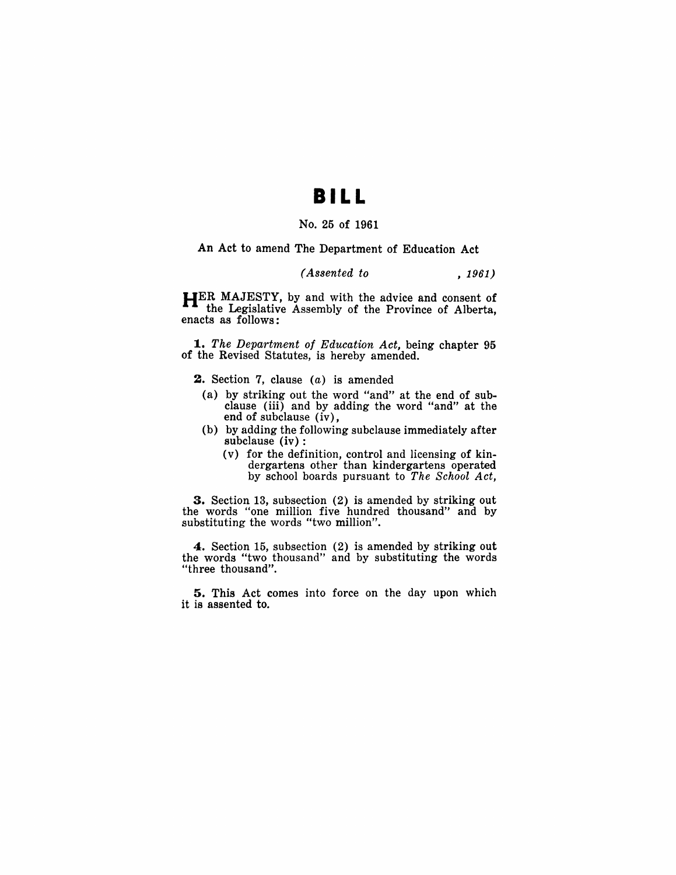## **BILL**

### No. 25 of 1961

An Act to amend The Department of Education Act

*(Assented to* , 1961)

HER MAJESTY, by and with the advice and consent of the Legislative Assembly of the Province of Alberta, enacts as follows:

*1. The Department of Education Act,* being chapter 95 of the Revised Statutes, is hereby amended.

2. Section 7, clause (a) is amended

- (a) by striking out the word "and" at the end of subclause (iii) and by adding the word "and" at the end of subclause (iv),
- (b) by adding the following subclause immediately after subclause (iv) :
	- (v) for the definition, control and licensing of kindergartens other than kindergartens operated by school boards pursuant to *The School Act,*

3. Section 13, subsection (2) is amended by striking out the words "one million five hundred thousand" and by substituting the words "two million".

4. Section 15, subsection (2) is amended by striking out the words "two thousand" and by substituting the words "three thousand".

5. This Act comes into force on the day upon which it is assented to.